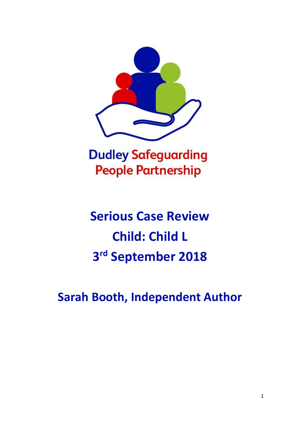

## **Dudley Safeguarding People Partnership**

# **Serious Case Review Child: Child L 3 rd September 2018**

**Sarah Booth, Independent Author**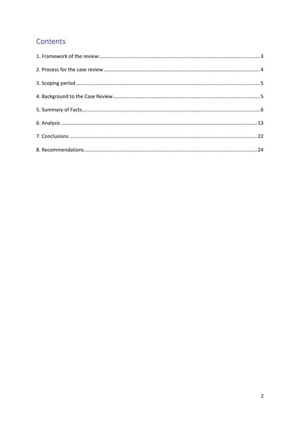## Contents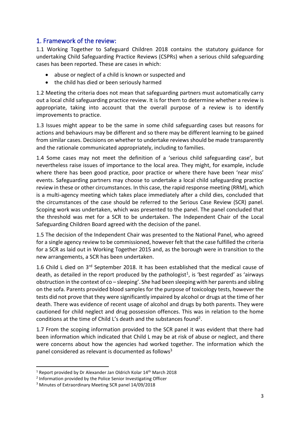## <span id="page-2-0"></span>1. Framework of the review:

1.1 Working Together to Safeguard Children 2018 contains the statutory guidance for undertaking Child Safeguarding Practice Reviews (CSPRs) when a serious child safeguarding cases has been reported. These are cases in which:

- abuse or neglect of a child is known or suspected and
- the child has died or been seriously harmed

1.2 Meeting the criteria does not mean that safeguarding partners must automatically carry out a local child safeguarding practice review. It is for them to determine whether a review is appropriate, taking into account that the overall purpose of a review is to identify improvements to practice.

1.3 Issues might appear to be the same in some child safeguarding cases but reasons for actions and behaviours may be different and so there may be different learning to be gained from similar cases. Decisions on whether to undertake reviews should be made transparently and the rationale communicated appropriately, including to families.

1.4 Some cases may not meet the definition of a 'serious child safeguarding case', but nevertheless raise issues of importance to the local area. They might, for example, include where there has been good practice, poor practice or where there have been 'near miss' events. Safeguarding partners may choose to undertake a local child safeguarding practice review in these or other circumstances. In this case, the rapid response meeting (RRM), which is a multi-agency meeting which takes place immediately after a child dies, concluded that the circumstances of the case should be referred to the Serious Case Review (SCR) panel. Scoping work was undertaken, which was presented to the panel. The panel concluded that the threshold was met for a SCR to be undertaken. The Independent Chair of the Local Safeguarding Children Board agreed with the decision of the panel.

1.5 The decision of the Independent Chair was presented to the National Panel, who agreed for a single agency review to be commissioned, however felt that the case fulfilled the criteria for a SCR as laid out in Working Together 2015 and, as the borough were in transition to the new arrangements, a SCR has been undertaken.

1.6 Child L died on 3<sup>rd</sup> September 2018. It has been established that the medical cause of death, as detailed in the report produced by the pathologist<sup>1</sup>, is 'best regarded' as 'airways obstruction in the context of co – sleeping'. She had been sleeping with her parents and sibling on the sofa. Parents provided blood samples for the purpose of toxicology tests, however the tests did not prove that they were significantly impaired by alcohol or drugs at the time of her death. There was evidence of recent usage of alcohol and drugs by both parents. They were cautioned for child neglect and drug possession offences. This was in relation to the home conditions at the time of Child L's death and the substances found<sup>2</sup>.

1.7 From the scoping information provided to the SCR panel it was evident that there had been information which indicated that Child L may be at risk of abuse or neglect, and there were concerns about how the agencies had worked together. The information which the panel considered as relevant is documented as follows<sup>3</sup>

 $1$  Report provided by Dr Alexander Jan Oldrich Kolar  $14$ <sup>th</sup> March 2018

<sup>2</sup> Information provided by the Police Senior Investigating Officer

<sup>3</sup> Minutes of Extraordinary Meeting SCR panel 14/09/2018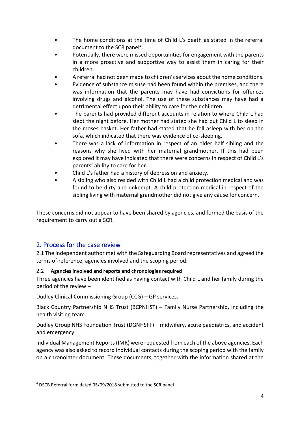- The home conditions at the time of Child L's death as stated in the referral document to the SCR panel<sup>4</sup>.
- Potentially, there were missed opportunities for engagement with the parents in a more proactive and supportive way to assist them in caring for their children.
- A referral had not been made to children's services about the home conditions.
- Evidence of substance misuse had been found within the premises, and there was information that the parents may have had convictions for offences involving drugs and alcohol. The use of these substances may have had a detrimental effect upon their ability to care for their children.
- The parents had provided different accounts in relation to where Child L had slept the night before. Her mother had stated she had put Child L to sleep in the moses basket. Her father had stated that he fell asleep with her on the sofa, which indicated that there was evidence of co-sleeping.
- There was a lack of information in respect of an older half sibling and the reasons why she lived with her maternal grandmother. If this had been explored it may have indicated that there were concerns in respect of Child L's parents' ability to care for her.
- Child L's father had a history of depression and anxiety.
- A sibling who also resided with Child L had a child protection medical and was found to be dirty and unkempt. A child protection medical in respect of the sibling living with maternal grandmother did not give any cause for concern.

These concerns did not appear to have been shared by agencies, and formed the basis of the requirement to carry out a SCR.

## <span id="page-3-0"></span>2. Process for the case review

2.1 The independent author met with the Safeguarding Board representatives and agreed the terms of reference, agencies involved and the scoping period.

#### 2.2 **Agencies involved and reports and chronologies required**

Three agencies have been identified as having contact with Child L and her family during the period of the review –

Dudley Clinical Commissioning Group (CCG) – GP services.

Black Country Partnership NHS Trust (BCPNHST) – Family Nurse Partnership, including the health visiting team.

Dudley Group NHS Foundation Trust (DGNHSFT) – midwifery, acute paediatrics, and accident and emergency.

Individual Management Reports (IMR) were requested from each of the above agencies. Each agency was also asked to record individual contacts during the scoping period with the family on a chronolater document. These documents, together with the information shared at the

<sup>4</sup> DSCB Referral form dated 05/09/2018 submitted to the SCR panel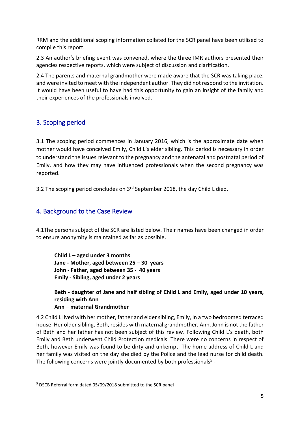RRM and the additional scoping information collated for the SCR panel have been utilised to compile this report.

2.3 An author's briefing event was convened, where the three IMR authors presented their agencies respective reports, which were subject of discussion and clarification.

2.4 The parents and maternal grandmother were made aware that the SCR was taking place, and were invited to meet with the independent author. They did not respond to the invitation. It would have been useful to have had this opportunity to gain an insight of the family and their experiences of the professionals involved.

## <span id="page-4-0"></span>3. Scoping period

3.1 The scoping period commences in January 2016, which is the approximate date when mother would have conceived Emily, Child L's elder sibling. This period is necessary in order to understand the issues relevant to the pregnancy and the antenatal and postnatal period of Emily, and how they may have influenced professionals when the second pregnancy was reported.

3.2 The scoping period concludes on 3<sup>rd</sup> September 2018, the day Child L died.

## <span id="page-4-1"></span>4. Background to the Case Review

4.1The persons subject of the SCR are listed below. Their names have been changed in order to ensure anonymity is maintained as far as possible.

**Child L – aged under 3 months Jane - Mother, aged between 25 – 30 years John - Father, aged between 35 - 40 years Emily - Sibling, aged under 2 years** 

**Beth - daughter of Jane and half sibling of Child L and Emily, aged under 10 years, residing with Ann**

## **Ann – maternal Grandmother**

4.2 Child L lived with her mother, father and elder sibling, Emily, in a two bedroomed terraced house. Her older sibling, Beth, resides with maternal grandmother, Ann. John is not the father of Beth and her father has not been subject of this review. Following Child L's death, both Emily and Beth underwent Child Protection medicals. There were no concerns in respect of Beth, however Emily was found to be dirty and unkempt. The home address of Child L and her family was visited on the day she died by the Police and the lead nurse for child death. The following concerns were jointly documented by both professionals<sup>5</sup> -

<sup>5</sup> DSCB Referral form dated 05/09/2018 submitted to the SCR panel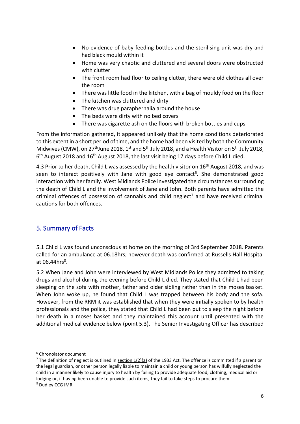- No evidence of baby feeding bottles and the sterilising unit was dry and had black mould within it
- Home was very chaotic and cluttered and several doors were obstructed with clutter
- The front room had floor to ceiling clutter, there were old clothes all over the room
- There was little food in the kitchen, with a bag of mouldy food on the floor
- The kitchen was cluttered and dirty
- There was drug paraphernalia around the house
- The beds were dirty with no bed covers
- There was cigarette ash on the floors with broken bottles and cups

From the information gathered, it appeared unlikely that the home conditions deteriorated to this extent in a short period of time, and the home had been visited by both the Community Midwives (CMW), on 27<sup>th</sup>June 2018, 1<sup>st</sup> and 5<sup>th</sup> July 2018, and a Health Visitor on 5<sup>th</sup> July 2018, 6<sup>th</sup> August 2018 and 16<sup>th</sup> August 2018, the last visit being 17 days before Child L died.

4.3 Prior to her death, Child L was assessed by the health visitor on 16<sup>th</sup> August 2018, and was seen to interact positively with Jane with good eye contact<sup>6</sup>. She demonstrated good interaction with her family. West Midlands Police investigated the circumstances surrounding the death of Child L and the involvement of Jane and John. Both parents have admitted the criminal offences of possession of cannabis and child neglect<sup>7</sup> and have received criminal cautions for both offences.

## <span id="page-5-0"></span>5. Summary of Facts

5.1 Child L was found unconscious at home on the morning of 3rd September 2018. Parents called for an ambulance at 06.18hrs; however death was confirmed at Russells Hall Hospital at 06.44 $hrs<sup>8</sup>$ .

5.2 When Jane and John were interviewed by West Midlands Police they admitted to taking drugs and alcohol during the evening before Child L died. They stated that Child L had been sleeping on the sofa with mother, father and older sibling rather than in the moses basket. When John woke up, he found that Child L was trapped between his body and the sofa. However, from the RRM it was established that when they were initially spoken to by health professionals and the police, they stated that Child L had been put to sleep the night before her death in a moses basket and they maintained this account until presented with the additional medical evidence below (point 5.3). The Senior Investigating Officer has described

<sup>6</sup> Chronolator document

<sup>&</sup>lt;sup>7</sup> The definition of neglect is outlined in section  $1(2)(a)$  of the 1933 Act. The offence is committed if a parent or the legal guardian, or other person legally liable to maintain a child or young person has wilfully neglected the child in a manner likely to cause injury to health by failing to provide adequate food, clothing, medical aid or lodging or, if having been unable to provide such items, they fail to take steps to procure them. <sup>8</sup> Dudley CCG IMR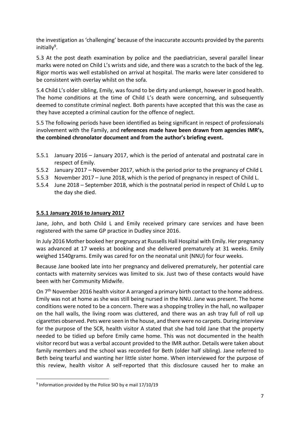the investigation as 'challenging' because of the inaccurate accounts provided by the parents initially<sup>9</sup>.

5.3 At the post death examination by police and the paediatrician, several parallel linear marks were noted on Child L's wrists and side, and there was a scratch to the back of the leg. Rigor mortis was well established on arrival at hospital. The marks were later considered to be consistent with overlay whilst on the sofa.

5.4 Child L's older sibling, Emily, was found to be dirty and unkempt, however in good health. The home conditions at the time of Child L's death were concerning, and subsequently deemed to constitute criminal neglect. Both parents have accepted that this was the case as they have accepted a criminal caution for the offence of neglect.

5.5 The following periods have been identified as being significant in respect of professionals involvement with the Family, and **references made have been drawn from agencies IMR's, the combined chronolator document and from the author's briefing event.**

- 5.5.1 January 2016 January 2017, which is the period of antenatal and postnatal care in respect of Emily.
- 5.5.2 January 2017 November 2017, which is the period prior to the pregnancy of Child L
- 5.5.3 November 2017 June 2018, which is the period of pregnancy in respect of Child L.
- 5.5.4 June 2018 September 2018, which is the postnatal period in respect of Child L up to the day she died.

## **5.5.1 January 2016 to January 2017**

Jane, John, and both Child L and Emily received primary care services and have been registered with the same GP practice in Dudley since 2016.

In July 2016 Mother booked her pregnancy at Russells Hall Hospital with Emily. Her pregnancy was advanced at 17 weeks at booking and she delivered prematurely at 31 weeks. Emily weighed 1540grams. Emily was cared for on the neonatal unit (NNU) for four weeks.

Because Jane booked late into her pregnancy and delivered prematurely, her potential care contacts with maternity services was limited to six. Just two of these contacts would have been with her Community Midwife.

On  $7<sup>th</sup>$  November 2016 health visitor A arranged a primary birth contact to the home address. Emily was not at home as she was still being nursed in the NNU. Jane was present. The home conditions were noted to be a concern. There was a shopping trolley in the hall, no wallpaper on the hall walls, the living room was cluttered, and there was an ash tray full of roll up cigarettes observed. Pets were seen in the house, and there were no carpets. During interview for the purpose of the SCR, health visitor A stated that she had told Jane that the property needed to be tidied up before Emily came home. This was not documented in the health visitor record but was a verbal account provided to the IMR author. Details were taken about family members and the school was recorded for Beth (older half sibling). Jane referred to Beth being tearful and wanting her little sister home. When interviewed for the purpose of this review, health visitor A self-reported that this disclosure caused her to make an

<sup>9</sup> Information provided by the Police SIO by e mail 17/10/19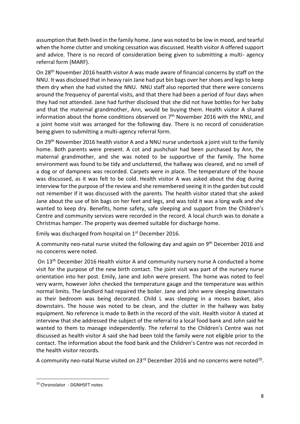assumption that Beth lived in the family home. Jane was noted to be low in mood, and tearful when the home clutter and smoking cessation was discussed. Health visitor A offered support and advice. There is no record of consideration being given to submitting a multi- agency referral form (MARF).

On 28th November 2016 health visitor A was made aware of financial concerns by staff on the NNU. It was disclosed that in heavy rain Jane had put bin bags over her shoes and legs to keep them dry when she had visited the NNU. NNU staff also reported that there were concerns around the frequency of parental visits, and that there had been a period of four days when they had not attended. Jane had further disclosed that she did not have bottles for her baby and that the maternal grandmother, Ann, would be buying them. Health visitor A shared information about the home conditions observed on  $7<sup>th</sup>$  November 2016 with the NNU, and a joint home visit was arranged for the following day. There is no record of consideration being given to submitting a multi-agency referral form.

On 29th November 2016 health visitor A and a NNU nurse undertook a joint visit to the family home. Both parents were present. A cot and pushchair had been purchased by Ann, the maternal grandmother, and she was noted to be supportive of the family. The home environment was found to be tidy and uncluttered, the hallway was cleared, and no smell of a dog or of dampness was recorded. Carpets were in place. The temperature of the house was discussed, as it was felt to be cold. Health visitor A was asked about the dog during interview for the purpose of the review and she remembered seeing it in the garden but could not remember if it was discussed with the parents. The health visitor stated that she asked Jane about the use of bin bags on her feet and legs, and was told it was a long walk and she wanted to keep dry. Benefits, home safety, safe sleeping and support from the Children's Centre and community services were recorded in the record. A local church was to donate a Christmas hamper. The property was deemed suitable for discharge home.

Emily was discharged from hospital on 1st December 2016.

A community neo-natal nurse visited the following day and again on 9<sup>th</sup> December 2016 and no concerns were noted.

On 13th December 2016 Health visitor A and community nursery nurse A conducted a home visit for the purpose of the new birth contact. The joint visit was part of the nursery nurse orientation into her post. Emily, Jane and John were present. The home was noted to feel very warm, however John checked the temperature gauge and the temperature was within normal limits. The landlord had repaired the boiler. Jane and John were sleeping downstairs as their bedroom was being decorated. Child L was sleeping in a moses basket, also downstairs. The house was noted to be clean, and the clutter in the hallway was baby equipment. No reference is made to Beth in the record of the visit. Health visitor A stated at interview that she addressed the subject of the referral to a local food bank and John said he wanted to them to manage independently. The referral to the Children's Centre was not discussed as health visitor A said she had been told the family were not eligible prior to the contact. The information about the food bank and the Children's Centre was not recorded in the health visitor records.

A community neo-natal Nurse visited on 23<sup>rd</sup> December 2016 and no concerns were noted<sup>10</sup>.

<sup>10</sup> Chronolator - DGNHSFT notes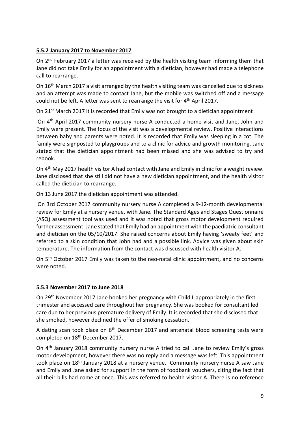### **5.5.2 January 2017 to November 2017**

On 2<sup>nd</sup> February 2017 a letter was received by the health visiting team informing them that Jane did not take Emily for an appointment with a dietician, however had made a telephone call to rearrange.

On 16<sup>th</sup> March 2017 a visit arranged by the health visiting team was cancelled due to sickness and an attempt was made to contact Jane, but the mobile was switched off and a message could not be left. A letter was sent to rearrange the visit for 4<sup>th</sup> April 2017.

On 21<sup>st</sup> March 2017 it is recorded that Emily was not brought to a dietician appointment

On 4th April 2017 community nursery nurse A conducted a home visit and Jane, John and Emily were present. The focus of the visit was a developmental review. Positive interactions between baby and parents were noted. It is recorded that Emily was sleeping in a cot. The family were signposted to playgroups and to a clinic for advice and growth monitoring. Jane stated that the dietician appointment had been missed and she was advised to try and rebook.

On 4<sup>th</sup> May 2017 health visitor A had contact with Jane and Emily in clinic for a weight review. Jane disclosed that she still did not have a new dietician appointment, and the health visitor called the dietician to rearrange.

On 13 June 2017 the dietician appointment was attended.

On 3rd October 2017 community nursery nurse A completed a 9-12-month developmental review for Emily at a nursery venue, with Jane. The Standard Ages and Stages Questionnaire (ASQ) assessment tool was used and it was noted that gross motor development required further assessment. Jane stated that Emily had an appointment with the paediatric consultant and dietician on the 05/10/2017. She raised concerns about Emily having 'sweaty feet' and referred to a skin condition that John had and a possible link. Advice was given about skin temperature. The information from the contact was discussed with health visitor A.

On 5th October 2017 Emily was taken to the neo-natal clinic appointment, and no concerns were noted.

#### **5.5.3 November 2017 to June 2018**

On 29th November 2017 Jane booked her pregnancy with Child L appropriately in the first trimester and accessed care throughout her pregnancy. She was booked for consultant led care due to her previous premature delivery of Emily. It is recorded that she disclosed that she smoked, however declined the offer of smoking cessation.

A dating scan took place on 6<sup>th</sup> December 2017 and antenatal blood screening tests were completed on 18th December 2017.

On 4th January 2018 community nursery nurse A tried to call Jane to review Emily's gross motor development, however there was no reply and a message was left. This appointment took place on 18th January 2018 at a nursery venue. Community nursery nurse A saw Jane and Emily and Jane asked for support in the form of foodbank vouchers, citing the fact that all their bills had come at once. This was referred to health visitor A. There is no reference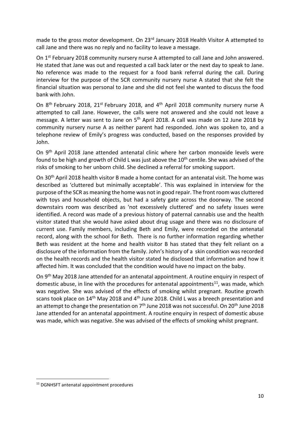made to the gross motor development. On 23<sup>rd</sup> January 2018 Health Visitor A attempted to call Jane and there was no reply and no facility to leave a message.

On 1<sup>st</sup> February 2018 community nursery nurse A attempted to call Jane and John answered. He stated that Jane was out and requested a call back later or the next day to speak to Jane. No reference was made to the request for a food bank referral during the call. During interview for the purpose of the SCR community nursery nurse A stated that she felt the financial situation was personal to Jane and she did not feel she wanted to discuss the food bank with John.

On 8<sup>th</sup> February 2018, 21<sup>st</sup> February 2018, and 4<sup>th</sup> April 2018 community nursery nurse A attempted to call Jane. However, the calls were not answered and she could not leave a message. A letter was sent to Jane on 5th April 2018. A call was made on 12 June 2018 by community nursery nurse A as neither parent had responded. John was spoken to, and a telephone review of Emily's progress was conducted, based on the responses provided by John.

On 9th April 2018 Jane attended antenatal clinic where her carbon monoxide levels were found to be high and growth of Child L was just above the  $10<sup>th</sup>$  centile. She was advised of the risks of smoking to her unborn child. She declined a referral for smoking support.

On 30th April 2018 health visitor B made a home contact for an antenatal visit. The home was described as 'cluttered but minimally acceptable'. This was explained in interview for the purpose of the SCR as meaning the home was not in good repair. The front room was cluttered with toys and household objects, but had a safety gate across the doorway. The second downstairs room was described as 'not excessively cluttered' and no safety issues were identified. A record was made of a previous history of paternal cannabis use and the health visitor stated that she would have asked about drug usage and there was no disclosure of current use. Family members, including Beth and Emily, were recorded on the antenatal record, along with the school for Beth. There is no further information regarding whether Beth was resident at the home and health visitor B has stated that they felt reliant on a disclosure of the information from the family. John's history of a skin condition was recorded on the health records and the health visitor stated he disclosed that information and how it affected him. It was concluded that the condition would have no impact on the baby.

On 9th May 2018 Jane attended for an antenatal appointment. A routine enquiry in respect of domestic abuse, in line with the procedures for antenatal appointments $^{11}$ , was made, which was negative. She was advised of the effects of smoking whilst pregnant. Routine growth scans took place on 14<sup>th</sup> May 2018 and 4<sup>th</sup> June 2018. Child L was a breech presentation and an attempt to change the presentation on  $7<sup>th</sup>$  June 2018 was not successful. On 20<sup>th</sup> June 2018 Jane attended for an antenatal appointment. A routine enquiry in respect of domestic abuse was made, which was negative. She was advised of the effects of smoking whilst pregnant.

<sup>11</sup> DGNHSFT antenatal appointment procedures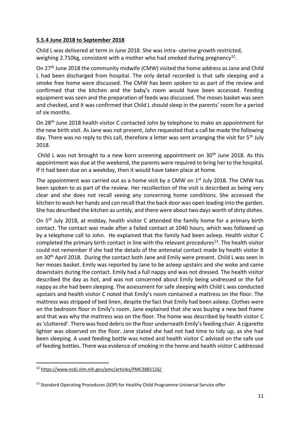#### **5.5.4 June 2018 to September 2018**

Child L was delivered at term in June 2018. She was intra- uterine growth restricted, weighing 2.710kg, consistent with a mother who had smoked during pregnancy<sup>12</sup>.

On 27th June 2018 the community midwife (CMW) visited the home address as Jane and Child L had been discharged from hospital. The only detail recorded is that safe sleeping and a smoke free home were discussed. The CMW has been spoken to as part of the review and confirmed that the kitchen and the baby's room would have been accessed. Feeding equipment was seen and the preparation of feeds was discussed. The moses basket was seen and checked, and it was confirmed that Child L should sleep in the parents' room for a period of six months.

On 28th June 2018 health visitor C contacted John by telephone to make an appointment for the new birth visit. As Jane was not present, John requested that a call be made the following day. There was no reply to this call, therefore a letter was sent arranging the visit for 5<sup>th</sup> July 2018.

Child L was not brought to a new born screening appointment on  $30<sup>th</sup>$  June 2018. As this appointment was due at the weekend, the parents were required to bring her to the hospital. If it had been due on a weekday, then it would have taken place at home.

The appointment was carried out as a home visit by a CMW on  $1<sup>st</sup>$  July 2018. The CMW has been spoken to as part of the review. Her recollection of the visit is described as being very clear and she does not recall seeing any concerning home conditions. She accessed the kitchen to wash her hands and can recall that the back door was open leading into the garden. She has described the kitchen as untidy, and there were about two days worth of dirty dishes.

On 5th July 2018, at midday, health visitor C attended the family home for a primary birth contact. The contact was made after a failed contact at 1040 hours, which was followed up by a telephone call to John. He explained that the family had been asleep. Health visitor C completed the primary birth contact in line with the relevant procedures<sup>13</sup>. The health visitor could not remember if she had the details of the antenatal contact made by health visitor B on 30th April 2018. During the contact both Jane and Emily were present. Child L was seen in her moses basket. Emily was reported by Jane to be asleep upstairs and she woke and came downstairs during the contact. Emily had a full nappy and was not dressed. The health visitor described the day as hot, and was not concerned about Emily being undressed or the full nappy as she had been sleeping. The assessment for safe sleeping with Child L was conducted upstairs and health visitor C noted that Emily's room contained a mattress on the floor. The mattress was stripped of bed linen, despite the fact that Emily had been asleep. Clothes were on the bedroom floor in Emily's room. Jane explained that she was buying a new bed frame and that was why the mattress was on the floor. The home was described by health visitor C as 'cluttered'. There was food debris on the floor underneath Emily's feeding chair. A cigarette lighter was observed on the floor. Jane stated she had not had time to tidy up, as she had been sleeping. A used feeding bottle was noted and health visitor C advised on the safe use of feeding bottles. There was evidence of smoking in the home and health visitor C addressed

<sup>12</sup> <https://www.ncbi.nlm.nih.gov/pmc/articles/PMC3881126/>

<sup>&</sup>lt;sup>13</sup> Standard Operating Procedures (SOP) for Healthy Child Programme Universal Service offer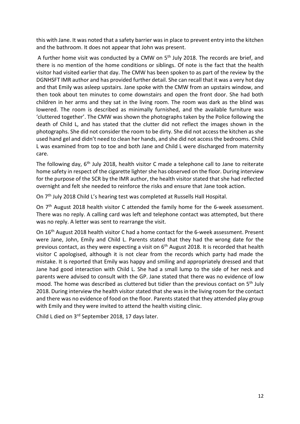this with Jane. It was noted that a safety barrier was in place to prevent entry into the kitchen and the bathroom. It does not appear that John was present.

A further home visit was conducted by a CMW on  $5<sup>th</sup>$  July 2018. The records are brief, and there is no mention of the home conditions or siblings. Of note is the fact that the health visitor had visited earlier that day. The CMW has been spoken to as part of the review by the DGNHSFT IMR author and has provided further detail. She can recall that it was a very hot day and that Emily was asleep upstairs. Jane spoke with the CMW from an upstairs window, and then took about ten minutes to come downstairs and open the front door. She had both children in her arms and they sat in the living room. The room was dark as the blind was lowered. The room is described as minimally furnished, and the available furniture was 'cluttered together'. The CMW was shown the photographs taken by the Police following the death of Child L, and has stated that the clutter did not reflect the images shown in the photographs. She did not consider the room to be dirty. She did not access the kitchen as she used hand gel and didn't need to clean her hands, and she did not access the bedrooms. Child L was examined from top to toe and both Jane and Child L were discharged from maternity care.

The following day, 6<sup>th</sup> July 2018, health visitor C made a telephone call to Jane to reiterate home safety in respect of the cigarette lighter she has observed on the floor. During interview for the purpose of the SCR by the IMR author, the health visitor stated that she had reflected overnight and felt she needed to reinforce the risks and ensure that Jane took action.

On 7<sup>th</sup> July 2018 Child L's hearing test was completed at Russells Hall Hospital.

On 7<sup>th</sup> August 2018 health visitor C attended the family home for the 6-week assessment. There was no reply. A calling card was left and telephone contact was attempted, but there was no reply. A letter was sent to rearrange the visit.

On 16th August 2018 health visitor C had a home contact for the 6-week assessment. Present were Jane, John, Emily and Child L. Parents stated that they had the wrong date for the previous contact, as they were expecting a visit on  $6<sup>th</sup>$  August 2018. It is recorded that health visitor C apologised, although it is not clear from the records which party had made the mistake. It is reported that Emily was happy and smiling and appropriately dressed and that Jane had good interaction with Child L. She had a small lump to the side of her neck and parents were advised to consult with the GP. Jane stated that there was no evidence of low mood. The home was described as cluttered but tidier than the previous contact on 5<sup>th</sup> July 2018. During interview the health visitor stated that she was in the living room for the contact and there was no evidence of food on the floor. Parents stated that they attended play group with Emily and they were invited to attend the health visiting clinic.

Child L died on 3rd September 2018, 17 days later.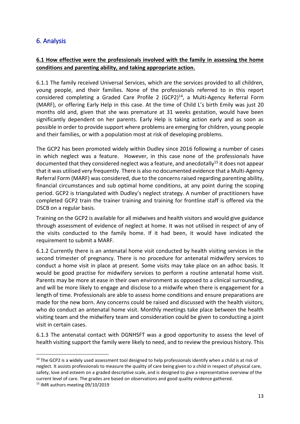## <span id="page-12-0"></span>6. Analysis

## **6.1 How effective were the professionals involved with the family in assessing the home conditions and parenting ability, and taking appropriate action.**

6.1.1 The family received Universal Services, which are the services provided to all children, young people, and their families. None of the professionals referred to in this report considered completing a Graded Care Profile 2  $(GCP2)^{14}$ , a Multi-Agency Referral Form (MARF), or offering Early Help in this case. At the time of Child L's birth Emily was just 20 months old and, given that she was premature at 31 weeks gestation, would have been significantly dependent on her parents. Early Help is taking action early and as soon as possible in order to provide support where problems are emerging for children, young people and their families, or with a population most at risk of developing problems.

The GCP2 has been promoted widely within Dudley since 2016 following a number of cases in which neglect was a feature. However, in this case none of the professionals have documented that they considered neglect was a feature, and anecdotally<sup>15</sup> it does not appear that it was utilised very frequently. There is also no documented evidence that a Multi-Agency Referral Form (MARF) was considered, due to the concerns raised regarding parenting ability, financial circumstances and sub optimal home conditions, at any point during the scoping period. GCP2 is triangulated with Dudley's neglect strategy. A number of practitioners have completed GCP2 train the trainer training and training for frontline staff is offered via the DSCB on a regular basis.

Training on the GCP2 is available for all midwives and health visitors and would give guidance through assessment of evidence of neglect at home. It was not utilised in respect of any of the visits conducted to the family home. If it had been, it would have indicated the requirement to submit a MARF.

6.1.2 Currently there is an antenatal home visit conducted by health visiting services in the second trimester of pregnancy. There is no procedure for antenatal midwifery services to conduct a home visit in place at present. Some visits may take place on an adhoc basis. It would be good practise for midwifery services to perform a routine antenatal home visit. Parents may be more at ease in their own environment as opposed to a clinical surrounding, and will be more likely to engage and disclose to a midwife when there is engagement for a length of time. Professionals are able to assess home conditions and ensure preparations are made for the new born. Any concerns could be raised and discussed with the health visitors, who do conduct an antenatal home visit. Monthly meetings take place between the health visiting team and the midwifery team and consideration could be given to conducting a joint visit in certain cases.

6.1.3 The antenatal contact with DGNHSFT was a good opportunity to assess the level of health visiting support the family were likely to need, and to review the previous history. This

<sup>&</sup>lt;sup>14</sup> The GCP2 is a widely used assessment tool designed to help professionals identify when a child is at risk of neglect. It assists professionals to measure the quality of care being given to a child in respect of physical care, safety, love and esteem on a graded descriptive scale, and is designed to give a representative overview of the current level of care. The grades are based on observations and good quality evidence gathered.

<sup>15</sup> IMR authors meeting 09/10/2019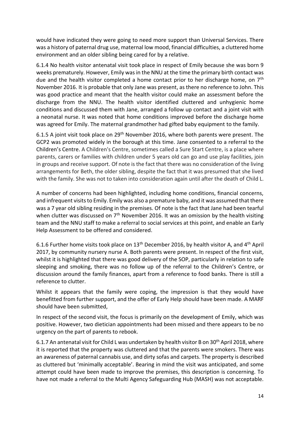would have indicated they were going to need more support than Universal Services. There was a history of paternal drug use, maternal low mood, financial difficulties, a cluttered home environment and an older sibling being cared for by a relative.

6.1.4 No health visitor antenatal visit took place in respect of Emily because she was born 9 weeks prematurely. However, Emily was in the NNU at the time the primary birth contact was due and the health visitor completed a home contact prior to her discharge home, on 7<sup>th</sup> November 2016. It is probable that only Jane was present, as there no reference to John. This was good practice and meant that the health visitor could make an assessment before the discharge from the NNU. The health visitor identified cluttered and unhygienic home conditions and discussed them with Jane, arranged a follow up contact and a joint visit with a neonatal nurse. It was noted that home conditions improved before the discharge home was agreed for Emily. The maternal grandmother had gifted baby equipment to the family.

6.1.5 A joint visit took place on 29<sup>th</sup> November 2016, where both parents were present. The GCP2 was promoted widely in the borough at this time. Jane consented to a referral to the Children's Centre. A Children's Centre, sometimes called a Sure Start Centre, is a place where parents, carers or families with children under 5 years old can go and use play facilities, join in groups and receive support. Of note is the fact that there was no consideration of the living arrangements for Beth, the older sibling, despite the fact that it was presumed that she lived with the family. She was not to taken into consideration again until after the death of Child L.

A number of concerns had been highlighted, including home conditions, financial concerns, and infrequent visits to Emily. Emily was also a premature baby, and it was assumed that there was a 7 year old sibling residing in the premises. Of note is the fact that Jane had been tearful when clutter was discussed on  $7<sup>th</sup>$  November 2016. It was an omission by the health visiting team and the NNU staff to make a referral to social services at this point, and enable an Early Help Assessment to be offered and considered.

6.1.6 Further home visits took place on 13<sup>th</sup> December 2016, by health visitor A, and 4<sup>th</sup> April 2017, by community nursery nurse A. Both parents were present. In respect of the first visit, whilst it is highlighted that there was good delivery of the SOP, particularly in relation to safe sleeping and smoking, there was no follow up of the referral to the Children's Centre, or discussion around the family finances, apart from a reference to food banks. There is still a reference to clutter.

Whilst it appears that the family were coping, the impression is that they would have benefitted from further support, and the offer of Early Help should have been made. A MARF should have been submitted,

In respect of the second visit, the focus is primarily on the development of Emily, which was positive. However, two dietician appointments had been missed and there appears to be no urgency on the part of parents to rebook.

6.1.7 An antenatal visit for Child L was undertaken by health visitor B on 30<sup>th</sup> April 2018, where it is reported that the property was cluttered and that the parents were smokers. There was an awareness of paternal cannabis use, and dirty sofas and carpets. The property is described as cluttered but 'minimally acceptable'. Bearing in mind the visit was anticipated, and some attempt could have been made to improve the premises, this description is concerning. To have not made a referral to the Multi Agency Safeguarding Hub (MASH) was not acceptable.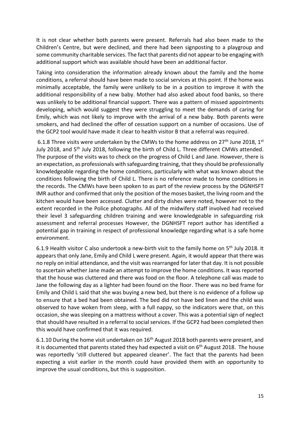It is not clear whether both parents were present. Referrals had also been made to the Children's Centre, but were declined, and there had been signposting to a playgroup and some community charitable services. The fact that parents did not appear to be engaging with additional support which was available should have been an additional factor.

Taking into consideration the information already known about the family and the home conditions, a referral should have been made to social services at this point. If the home was minimally acceptable, the family were unlikely to be in a position to improve it with the additional responsibility of a new baby. Mother had also asked about food banks, so there was unlikely to be additional financial support. There was a pattern of missed appointments developing, which would suggest they were struggling to meet the demands of caring for Emily, which was not likely to improve with the arrival of a new baby. Both parents were smokers, and had declined the offer of cessation support on a number of occasions. Use of the GCP2 tool would have made it clear to health visitor B that a referral was required.

6.1.8 Three visits were undertaken by the CMWs to the home address on  $27<sup>th</sup>$  June 2018, 1<sup>st</sup> July 2018, and 5<sup>th</sup> July 2018, following the birth of Child L. Three different CMWs attended. The purpose of the visits was to check on the progress of Child L and Jane. However, there is an expectation, as professionals with safeguarding training, that they should be professionally knowledgeable regarding the home conditions, particularly with what was known about the conditions following the birth of Child L. There is no reference made to home conditions in the records. The CMWs have been spoken to as part of the review process by the DGNHSFT IMR author and confirmed that only the position of the moses basket, the living room and the kitchen would have been accessed. Clutter and dirty dishes were noted, however not to the extent recorded in the Police photographs. All of the midwifery staff involved had received their level 3 safeguarding children training and were knowledgeable in safeguarding risk assessment and referral processes However, the DGNHSFT report author has identified a potential gap in training in respect of professional knowledge regarding what is a safe home environment.

6.1.9 Health visitor C also undertook a new-birth visit to the family home on  $5<sup>th</sup>$  July 2018. It appears that only Jane, Emily and Child L were present. Again, it would appear that there was no reply on initial attendance, and the visit was rearranged for later that day. It is not possible to ascertain whether Jane made an attempt to improve the home conditions. It was reported that the house was cluttered and there was food on the floor. A telephone call was made to Jane the following day as a lighter had been found on the floor. There was no bed frame for Emily and Child L said that she was buying a new bed, but there is no evidence of a follow up to ensure that a bed had been obtained. The bed did not have bed linen and the child was observed to have woken from sleep, with a full nappy, so the indicators were that, on this occasion, she was sleeping on a mattress without a cover. This was a potential sign of neglect that should have resulted in a referral to social services. If the GCP2 had been completed then this would have confirmed that it was required.

6.1.10 During the home visit undertaken on 16th August 2018 both parents were present, and it is documented that parents stated they had expected a visit on 6<sup>th</sup> August 2018. The house was reportedly 'still cluttered but appeared cleaner'. The fact that the parents had been expecting a visit earlier in the month could have provided them with an opportunity to improve the usual conditions, but this is supposition.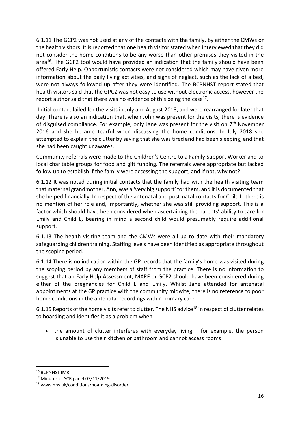6.1.11 The GCP2 was not used at any of the contacts with the family, by either the CMWs or the health visitors. It is reported that one health visitor stated when interviewed that they did not consider the home conditions to be any worse than other premises they visited in the area<sup>16</sup>. The GCP2 tool would have provided an indication that the family should have been offered Early Help. Opportunistic contacts were not considered which may have given more information about the daily living activities, and signs of neglect, such as the lack of a bed, were not always followed up after they were identified. The BCPNHST report stated that health visitors said that the GPC2 was not easy to use without electronic access, however the report author said that there was no evidence of this being the case<sup>17</sup>.

Initial contact failed for the visits in July and August 2018, and were rearranged for later that day. There is also an indication that, when John was present for the visits, there is evidence of disguised compliance. For example, only Jane was present for the visit on  $7<sup>th</sup>$  November 2016 and she became tearful when discussing the home conditions. In July 2018 she attempted to explain the clutter by saying that she was tired and had been sleeping, and that she had been caught unawares.

Community referrals were made to the Children's Centre to a Family Support Worker and to local charitable groups for food and gift funding. The referrals were appropriate but lacked follow up to establish if the family were accessing the support, and if not, why not?

6.1.12 It was noted during initial contacts that the family had with the health visiting team that maternal grandmother, Ann, was a 'very big support' for them, and it is documented that she helped financially. In respect of the antenatal and post-natal contacts for Child L, there is no mention of her role and, importantly, whether she was still providing support. This is a factor which should have been considered when ascertaining the parents' ability to care for Emily and Child L, bearing in mind a second child would presumably require additional support.

6.1.13 The health visiting team and the CMWs were all up to date with their mandatory safeguarding children training. Staffing levels have been identified as appropriate throughout the scoping period.

6.1.14 There is no indication within the GP records that the family's home was visited during the scoping period by any members of staff from the practice. There is no information to suggest that an Early Help Assessment, MARF or GCP2 should have been considered during either of the pregnancies for Child L and Emily. Whilst Jane attended for antenatal appointments at the GP practice with the community midwife, there is no reference to poor home conditions in the antenatal recordings within primary care.

6.1.15 Reports of the home visits refer to clutter. The NHS advice<sup>18</sup> in respect of clutter relates to hoarding and identifies it as a problem when

• the amount of clutter interferes with everyday living  $-$  for example, the person is unable to use their kitchen or bathroom and cannot access rooms

<sup>16</sup> BCPNHST IMR

<sup>17</sup> Minutes of SCR panel 07/11/2019

<sup>18</sup> www.nhs.uk/conditions/hoarding-disorder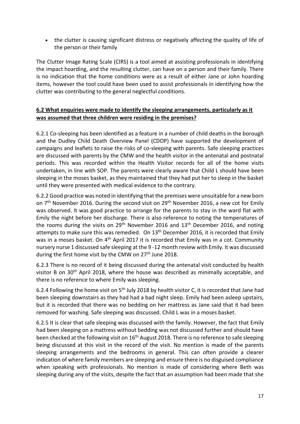• the clutter is causing significant distress or negatively affecting the quality of life of the person or their family

The Clutter Image Rating Scale (CIRS) is a tool aimed at assisting professionals in identifying the impact hoarding, and the resulting clutter, can have on a person and their family. There is no indication that the home conditions were as a result of either Jane or John hoarding items, however the tool could have been used to assist professionals in identifying how the clutter was contributing to the general neglectful conditions.

## **6.2 What enquiries were made to identify the sleeping arrangements, particularly as it was assumed that three children were residing in the premises?**

6.2.1 Co-sleeping has been identified as a feature in a number of child deaths in the borough and the Dudley Child Death Overview Panel (CDOP) have supported the development of campaigns and leaflets to raise the risks of co-sleeping with parents. Safe sleeping practices are discussed with parents by the CMW and the health visitor in the antenatal and postnatal periods. This was recorded within the Health Visitor records for all of the home visits undertaken, in line with SOP. The parents were clearly aware that Child L should have been sleeping in the moses basket, as they maintained that they had put her to sleep in the basket until they were presented with medical evidence to the contrary.

6.2.2 Good practice was noted in identifying that the premises were unsuitable for a new born on  $7<sup>th</sup>$  November 2016. During the second visit on  $29<sup>th</sup>$  November 2016, a new cot for Emily was observed. It was good practice to arrange for the parents to stay in the ward flat with Emily the night before her discharge. There is also reference to noting the temperatures of the rooms during the visits on  $29<sup>th</sup>$  November 2016 and  $13<sup>th</sup>$  December 2016, and noting attempts to make sure this was remedied. On 13<sup>th</sup> December 2016, it is recorded that Emily was in a moses basket. On 4<sup>th</sup> April 2017 it is recorded that Emily was in a cot. Community nursery nurse 1 discussed safe sleeping at the 9 -12 month review with Emily. It was discussed during the first home visit by the CMW on 27<sup>th</sup> June 2018.

6.2.3 There is no record of it being discussed during the antenatal visit conducted by health visitor B on 30<sup>th</sup> April 2018, where the house was described as minimally acceptable, and there is no reference to where Emily was sleeping.

6.2.4 Following the home visit on 5<sup>th</sup> July 2018 by health visitor C, it is recorded that Jane had been sleeping downstairs as they had had a bad night sleep. Emily had been asleep upstairs, but it is recorded that there was no bedding on her mattress as Jane said that it had been removed for washing. Safe sleeping was discussed. Child L was in a moses basket.

6.2.5 It is clear that safe sleeping was discussed with the family. However, the fact that Emily had been sleeping on a mattress without bedding was not discussed further and should have been checked at the following visit on 16<sup>th</sup> August 2018. There is no reference to safe sleeping being discussed at this visit in the record of the visit. No mention is made of the parents sleeping arrangements and the bedrooms in general. This can often provide a clearer indication of where family members are sleeping and ensure there is no disguised compliance when speaking with professionals. No mention is made of considering where Beth was sleeping during any of the visits, despite the fact that an assumption had been made that she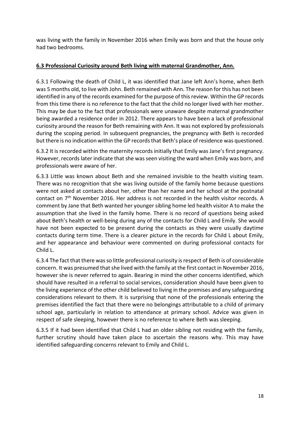was living with the family in November 2016 when Emily was born and that the house only had two bedrooms.

### **6.3 Professional Curiosity around Beth living with maternal Grandmother, Ann.**

6.3.1 Following the death of Child L, it was identified that Jane left Ann's home, when Beth was 5 months old, to live with John. Beth remained with Ann. The reason for this has not been identified in any of the records examined for the purpose of this review. Within the GP records from this time there is no reference to the fact that the child no longer lived with her mother. This may be due to the fact that professionals were unaware despite maternal grandmother being awarded a residence order in 2012. There appears to have been a lack of professional curiosity around the reason for Beth remaining with Ann. It was not explored by professionals during the scoping period. In subsequent pregnancies, the pregnancy with Beth is recorded but there is no indication within the GP records that Beth's place of residence was questioned.

6.3.2 It is recorded within the maternity records initially that Emily was Jane's first pregnancy. However, records later indicate that she was seen visiting the ward when Emily was born, and professionals were aware of her.

6.3.3 Little was known about Beth and she remained invisible to the health visiting team. There was no recognition that she was living outside of the family home because questions were not asked at contacts about her, other than her name and her school at the postnatal contact on 7th November 2016. Her address is not recorded in the health visitor records. A comment by Jane that Beth wanted her younger sibling home led health visitor A to make the assumption that she lived in the family home. There is no record of questions being asked about Beth's health or well-being during any of the contacts for Child L and Emily. She would have not been expected to be present during the contacts as they were usually daytime contacts during term time. There is a clearer picture in the records for Child L about Emily, and her appearance and behaviour were commented on during professional contacts for Child L.

6.3.4 The fact that there was so little professional curiosity is respect of Beth is of considerable concern. It was presumed that she lived with the family at the first contact in November 2016, however she is never referred to again. Bearing in mind the other concerns identified, which should have resulted in a referral to social services, consideration should have been given to the living experience of the other child believed to living in the premises and any safeguarding considerations relevant to them. It is surprising that none of the professionals entering the premises identified the fact that there were no belongings attributable to a child of primary school age, particularly in relation to attendance at primary school. Advice was given in respect of safe sleeping, however there is no reference to where Beth was sleeping.

6.3.5 If it had been identified that Child L had an older sibling not residing with the family, further scrutiny should have taken place to ascertain the reasons why. This may have identified safeguarding concerns relevant to Emily and Child L.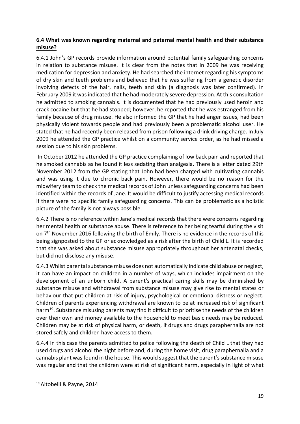## **6.4 What was known regarding maternal and paternal mental health and their substance misuse?**

6.4.1 John's GP records provide information around potential family safeguarding concerns in relation to substance misuse. It is clear from the notes that in 2009 he was receiving medication for depression and anxiety. He had searched the internet regarding his symptoms of dry skin and teeth problems and believed that he was suffering from a genetic disorder involving defects of the hair, nails, teeth and skin (a diagnosis was later confirmed). In February 2009 it wasindicated that he had moderately severe depression. At this consultation he admitted to smoking cannabis. It is documented that he had previously used heroin and crack cocaine but that he had stopped; however, he reported that he was estranged from his family because of drug misuse. He also informed the GP that he had anger issues, had been physically violent towards people and had previously been a problematic alcohol user. He stated that he had recently been released from prison following a drink driving charge. In July 2009 he attended the GP practice whilst on a community service order, as he had missed a session due to his skin problems.

In October 2012 he attended the GP practice complaining of low back pain and reported that he smoked cannabis as he found it less sedating than analgesia. There is a letter dated 29th November 2012 from the GP stating that John had been charged with cultivating cannabis and was using it due to chronic back pain. However, there would be no reason for the midwifery team to check the medical records of John unless safeguarding concerns had been identified within the records of Jane. It would be difficult to justify accessing medical records if there were no specific family safeguarding concerns. This can be problematic as a holistic picture of the family is not always possible.

6.4.2 There is no reference within Jane's medical records that there were concerns regarding her mental health or substance abuse. There is reference to her being tearful during the visit on 7<sup>th</sup> November 2016 following the birth of Emily. There is no evidence in the records of this being signposted to the GP or acknowledged as a risk after the birth of Child L. It is recorded that she was asked about substance misuse appropriately throughout her antenatal checks, but did not disclose any misuse.

6.4.3 Whilst parental substance misuse does not automatically indicate child abuse or neglect, it can have an impact on children in a number of ways, which includes impairment on the development of an unborn child. A parent's practical caring skills may be diminished by substance misuse and withdrawal from substance misuse may give rise to mental states or behaviour that put children at risk of injury, psychological or emotional distress or neglect. Children of parents experiencing withdrawal are known to be at increased risk of significant harm<sup>19</sup>. Substance misusing parents may find it difficult to prioritise the needs of the children over their own and money available to the household to meet basic needs may be reduced. Children may be at risk of physical harm, or death, if drugs and drugs paraphernalia are not stored safely and children have access to them.

6.4.4 In this case the parents admitted to police following the death of Child L that they had used drugs and alcohol the night before and, during the home visit, drug paraphernalia and a cannabis plant wasfound in the house. This would suggest that the parent's substance misuse was regular and that the children were at risk of significant harm, especially in light of what

<sup>19</sup> Altobelli & Payne, 2014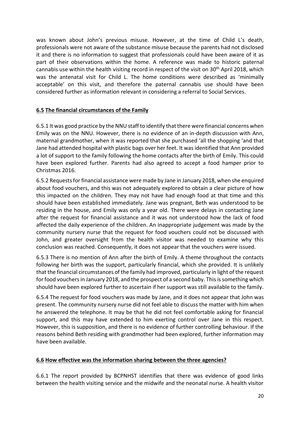was known about John's previous misuse. However, at the time of Child L's death, professionals were not aware of the substance misuse because the parents had not disclosed it and there is no information to suggest that professionals could have been aware of it as part of their observations within the home. A reference was made to historic paternal cannabis use within the health visiting record in respect of the visit on 30<sup>th</sup> April 2018, which was the antenatal visit for Child L. The home conditions were described as 'minimally acceptable' on this visit, and therefore the paternal cannabis use should have been considered further as information relevant in considering a referral to Social Services.

### **6.5 The financial circumstances of the Family**

6.5.1 It was good practice by the NNU staff to identify that there were financial concerns when Emily was on the NNU. However, there is no evidence of an in-depth discussion with Ann, maternal grandmother, when it was reported that she purchased 'all the shopping 'and that Jane had attended hospital with plastic bags over her feet. It was identified that Ann provided a lot of support to the family following the home contacts after the birth of Emily. This could have been explored further. Parents had also agreed to accept a food hamper prior to Christmas 2016.

6.5.2 Requests for financial assistance were made by Jane in January 2018, when she enquired about food vouchers, and this was not adequately explored to obtain a clear picture of how this impacted on the children. They may not have had enough food at that time and this should have been established immediately. Jane was pregnant, Beth was understood to be residing in the house, and Emily was only a year old. There were delays in contacting Jane after the request for financial assistance and it was not understood how the lack of food affected the daily experience of the children. An inappropriate judgement was made by the community nursery nurse that the request for food vouchers could not be discussed with John, and greater oversight from the health visitor was needed to examine why this conclusion was reached. Consequently, it does not appear that the vouchers were issued.

6.5.3 There is no mention of Ann after the birth of Emily. A theme throughout the contacts following her birth was the support, particularly financial, which she provided. It is unlikely that the financial circumstances of the family had improved, particularly in light of the request for food vouchers in January 2018, and the prospect of a second baby. This is something which should have been explored further to ascertain if her support was still available to the family.

6.5.4 The request for food vouchers was made by Jane, and it does not appear that John was present. The community nursery nurse did not feel able to discuss the matter with him when he answered the telephone. It may be that he did not feel comfortable asking for financial support, and this may have extended to him exerting control over Jane in this respect. However, this is supposition, and there is no evidence of further controlling behaviour. If the reasons behind Beth residing with grandmother had been explored, further information may have been available.

#### **6.6 How effective was the information sharing between the three agencies?**

6.6.1 The report provided by BCPNHST identifies that there was evidence of good links between the health visiting service and the midwife and the neonatal nurse. A health visitor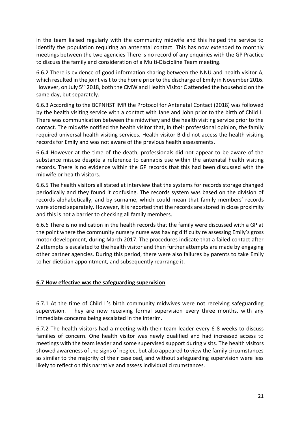in the team liaised regularly with the community midwife and this helped the service to identify the population requiring an antenatal contact. This has now extended to monthly meetings between the two agencies There is no record of any enquiries with the GP Practice to discuss the family and consideration of a Multi-Discipline Team meeting.

6.6.2 There is evidence of good information sharing between the NNU and health visitor A, which resulted in the joint visit to the home prior to the discharge of Emily in November 2016. However, on July 5th 2018, both the CMW and Health Visitor C attended the household on the same day, but separately.

6.6.3 According to the BCPNHST IMR the Protocol for Antenatal Contact (2018) was followed by the health visiting service with a contact with Jane and John prior to the birth of Child L. There was communication between the midwifery and the health visiting service prior to the contact. The midwife notified the health visitor that, in their professional opinion, the family required universal health visiting services. Health visitor B did not access the health visiting records for Emily and was not aware of the previous health assessments.

6.6.4 However at the time of the death, professionals did not appear to be aware of the substance misuse despite a reference to cannabis use within the antenatal health visiting records. There is no evidence within the GP records that this had been discussed with the midwife or health visitors.

6.6.5 The health visitors all stated at interview that the systems for records storage changed periodically and they found it confusing. The records system was based on the division of records alphabetically, and by surname, which could mean that family members' records were stored separately. However, it is reported that the records are stored in close proximity and this is not a barrier to checking all family members.

6.6.6 There is no indication in the health records that the family were discussed with a GP at the point where the community nursery nurse was having difficulty re assessing Emily's gross motor development, during March 2017. The procedures indicate that a failed contact after 2 attempts is escalated to the health visitor and then further attempts are made by engaging other partner agencies. During this period, there were also failures by parents to take Emily to her dietician appointment, and subsequently rearrange it.

#### **6.7 How effective was the safeguarding supervision**

6.7.1 At the time of Child L's birth community midwives were not receiving safeguarding supervision. They are now receiving formal supervision every three months, with any immediate concerns being escalated in the interim.

6.7.2 The health visitors had a meeting with their team leader every 6-8 weeks to discuss families of concern. One health visitor was newly qualified and had increased access to meetings with the team leader and some supervised support during visits. The health visitors showed awareness of the signs of neglect but also appeared to view the family circumstances as similar to the majority of their caseload, and without safeguarding supervision were less likely to reflect on this narrative and assess individual circumstances.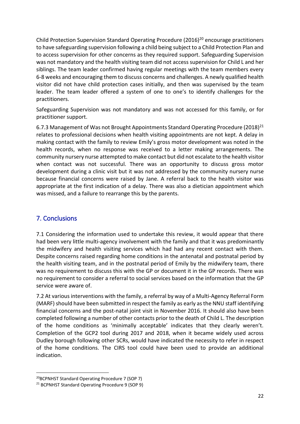Child Protection Supervision Standard Operating Procedure (2016)<sup>20</sup> encourage practitioners to have safeguarding supervision following a child being subject to a Child Protection Plan and to access supervision for other concerns as they required support. Safeguarding Supervision was not mandatory and the health visiting team did not access supervision for Child L and her siblings. The team leader confirmed having regular meetings with the team members every 6-8 weeks and encouraging them to discuss concerns and challenges. A newly qualified health visitor did not have child protection cases initially, and then was supervised by the team leader. The team leader offered a system of one to one's to identify challenges for the practitioners.

Safeguarding Supervision was not mandatory and was not accessed for this family, or for practitioner support.

6.7.3 Management of Was not Brought Appointments Standard Operating Procedure (2018)<sup>21</sup> relates to professional decisions when health visiting appointments are not kept. A delay in making contact with the family to review Emily's gross motor development was noted in the health records, when no response was received to a letter making arrangements. The community nursery nurse attempted to make contact but did not escalate to the health visitor when contact was not successful. There was an opportunity to discuss gross motor development during a clinic visit but it was not addressed by the community nursery nurse because financial concerns were raised by Jane. A referral back to the health visitor was appropriate at the first indication of a delay. There was also a dietician appointment which was missed, and a failure to rearrange this by the parents.

## <span id="page-21-0"></span>7. Conclusions

7.1 Considering the information used to undertake this review, it would appear that there had been very little multi-agency involvement with the family and that it was predominantly the midwifery and health visiting services which had had any recent contact with them. Despite concerns raised regarding home conditions in the antenatal and postnatal period by the health visiting team, and in the postnatal period of Emily by the midwifery team, there was no requirement to discuss this with the GP or document it in the GP records. There was no requirement to consider a referral to social services based on the information that the GP service were aware of.

7.2 At various interventions with the family, a referral by way of a Multi-Agency Referral Form (MARF) should have been submitted in respect the family as early as the NNU staff identifying financial concerns and the post-natal joint visit in November 2016. It should also have been completed following a number of other contacts prior to the death of Child L. The description of the home conditions as 'minimally acceptable' indicates that they clearly weren't. Completion of the GCP2 tool during 2017 and 2018, when it became widely used across Dudley borough following other SCRs, would have indicated the necessity to refer in respect of the home conditions. The CIRS tool could have been used to provide an additional indication.

<sup>20</sup>BCPNHST Standard Operating Procedure 7 (SOP 7)

<sup>21</sup> BCPNHST Standard Operating Procedure 9 (SOP 9)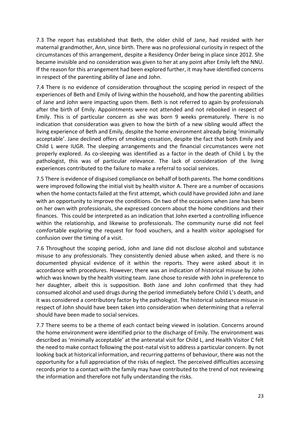7.3 The report has established that Beth, the older child of Jane, had resided with her maternal grandmother, Ann, since birth. There was no professional curiosity in respect of the circumstances of this arrangement, despite a Residency Order being in place since 2012. She became invisible and no consideration was given to her at any point after Emily left the NNU. If the reason for this arrangement had been explored further, it may have identified concerns in respect of the parenting ability of Jane and John.

7.4 There is no evidence of consideration throughout the scoping period in respect of the experiences of Beth and Emily of living within the household, and how the parenting abilities of Jane and John were impacting upon them. Beth is not referred to again by professionals after the birth of Emily. Appointments were not attended and not rebooked in respect of Emily. This is of particular concern as she was born 9 weeks prematurely. There is no indication that consideration was given to how the birth of a new sibling would affect the living experience of Beth and Emily, despite the home environment already being 'minimally acceptable'. Jane declined offers of smoking cessation, despite the fact that both Emily and Child L were IUGR. The sleeping arrangements and the financial circumstances were not properly explored. As co-sleeping was identified as a factor in the death of Child L by the pathologist, this was of particular relevance. The lack of consideration of the living experiences contributed to the failure to make a referral to social services.

7.5 There is evidence of disguised compliance on behalf of both parents. The home conditions were improved following the initial visit by health visitor A. There are a number of occasions when the home contacts failed at the first attempt, which could have provided John and Jane with an opportunity to improve the conditions. On two of the occasions when Jane has been on her own with professionals, she expressed concern about the home conditions and their finances. This could be interpreted as an indication that John exerted a controlling influence within the relationship, and likewise to professionals. The community nurse did not feel comfortable exploring the request for food vouchers, and a health visitor apologised for confusion over the timing of a visit.

7.6 Throughout the scoping period, John and Jane did not disclose alcohol and substance misuse to any professionals. They consistently denied abuse when asked, and there is no documented physical evidence of it within the reports. They were asked about it in accordance with procedures. However, there was an indication of historical misuse by John which was known by the health visiting team. Jane chose to reside with John in preference to her daughter, albeit this is supposition. Both Jane and John confirmed that they had consumed alcohol and used drugs during the period immediately before Child L's death, and it was considered a contributory factor by the pathologist. The historical substance misuse in respect of John should have been taken into consideration when determining that a referral should have been made to social services.

7.7 There seems to be a theme of each contact being viewed in isolation. Concerns around the home environment were identified prior to the discharge of Emily. The environment was described as 'minimally acceptable' at the antenatal visit for Child L, and Health Visitor C felt the need to make contact following the post-natal visit to address a particular concern. By not looking back at historical information, and recurring patterns of behaviour, there was not the opportunity for a full appreciation of the risks of neglect. The perceived difficulties accessing records prior to a contact with the family may have contributed to the trend of not reviewing the information and therefore not fully understanding the risks.